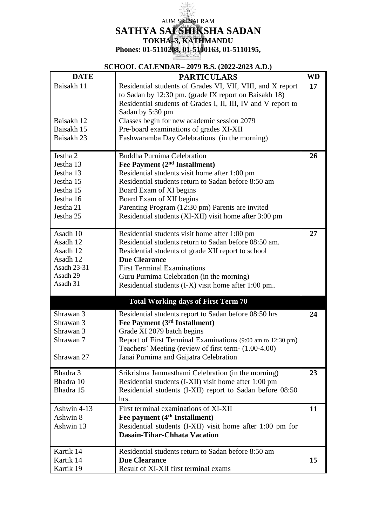## AUM SRISAI RAM SATHYA SAI SHIKSHA SADAN **TOKHA–3, KATHMANDU Phones: 01-5110208, 01-5110163, 01-5110195,**

 $\tilde{3}$ 

## **SCHOOL CALENDAR– 2079 B.S. (2022-2023 A.D.)**

| <b>DATE</b>            | <b>PARTICULARS</b>                                                                                                     | <b>WD</b> |
|------------------------|------------------------------------------------------------------------------------------------------------------------|-----------|
| Baisakh 11             | Residential students of Grades VI, VII, VIII, and X report                                                             | 17        |
|                        | to Sadan by 12:30 pm. (grade IX report on Baisakh 18)<br>Residential students of Grades I, II, III, IV and V report to |           |
|                        | Sadan by 5:30 pm                                                                                                       |           |
| Baisakh 12             | Classes begin for new academic session 2079                                                                            |           |
| Baisakh 15             | Pre-board examinations of grades XI-XII                                                                                |           |
| Baisakh 23             | Eashwaramba Day Celebrations (in the morning)                                                                          |           |
|                        |                                                                                                                        |           |
| Jestha 2               | <b>Buddha Purnima Celebration</b>                                                                                      | 26        |
| Jestha 13<br>Jestha 13 | Fee Payment (2 <sup>nd</sup> Installment)                                                                              |           |
| Jestha 15              | Residential students visit home after 1:00 pm<br>Residential students return to Sadan before 8:50 am                   |           |
| Jestha 15              | Board Exam of XI begins                                                                                                |           |
| Jestha 16              | Board Exam of XII begins                                                                                               |           |
| Jestha 21              | Parenting Program (12:30 pm) Parents are invited                                                                       |           |
| Jestha 25              | Residential students (XI-XII) visit home after 3:00 pm                                                                 |           |
|                        |                                                                                                                        |           |
| Asadh 10               | Residential students visit home after 1:00 pm                                                                          | 27        |
| Asadh 12               | Residential students return to Sadan before 08:50 am.                                                                  |           |
| Asadh 12               | Residential students of grade XII report to school                                                                     |           |
| Asadh 12               | <b>Due Clearance</b>                                                                                                   |           |
| Asadh 23-31            | <b>First Terminal Examinations</b>                                                                                     |           |
| Asadh 29               | Guru Purnima Celebration (in the morning)                                                                              |           |
| Asadh 31               | Residential students (I-X) visit home after 1:00 pm                                                                    |           |
|                        | <b>Total Working days of First Term 70</b>                                                                             |           |
| Shrawan 3              | Residential students report to Sadan before 08:50 hrs                                                                  | 24        |
| Shrawan 3              | Fee Payment (3rd Installment)                                                                                          |           |
| Shrawan 3              | Grade XI 2079 batch begins                                                                                             |           |
| Shrawan 7              | Report of First Terminal Examinations (9:00 am to 12:30 pm)                                                            |           |
|                        | Teachers' Meeting (review of first term- (1.00-4.00)                                                                   |           |
| Shrawan 27             | Janai Purnima and Gaijatra Celebration                                                                                 |           |
| Bhadra 3               | Srikrishna Janmasthami Celebration (in the morning)                                                                    | 23        |
| Bhadra 10              | Residential students (I-XII) visit home after 1:00 pm                                                                  |           |
| Bhadra 15              | Residential students (I-XII) report to Sadan before 08:50                                                              |           |
|                        | hrs.                                                                                                                   |           |
| Ashwin 4-13            | First terminal examinations of XI-XII                                                                                  | 11        |
| Ashwin 8               | Fee payment (4 <sup>th</sup> Installment)                                                                              |           |
| Ashwin 13              | Residential students (I-XII) visit home after 1:00 pm for                                                              |           |
|                        | <b>Dasain-Tihar-Chhata Vacation</b>                                                                                    |           |
| Kartik 14              | Residential students return to Sadan before 8:50 am                                                                    |           |
| Kartik 14              | <b>Due Clearance</b>                                                                                                   | 15        |
| Kartik 19              | Result of XI-XII first terminal exams                                                                                  |           |